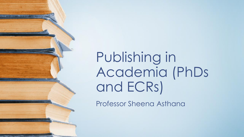Publishing in Academia (PhDs and ECRs)

Professor Sheena Asthana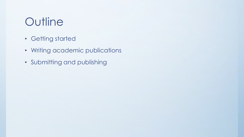# **Outline**

- Getting started
- Writing academic publications
- Submitting and publishing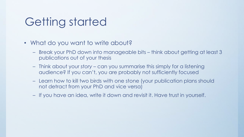#### Getting started

- What do you want to write about?
	- Break your PhD down into manageable bits think about getting at least 3 publications out of your thesis
	- Think about your *story* can you summarise this simply for a listening audience? If you can't, you are probably not sufficiently focused
	- Learn how to kill two birds with one stone (your publication plans should not detract from your PhD and vice versa)
	- If you have an idea, write it down and revisit it. Have trust in yourself.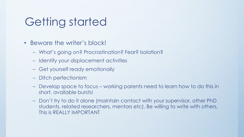#### Getting started

- Beware the writer's block!
	- What's going on? Procrastination? Fear? Isolation?
	- Identify your displacement activities
	- Get yourself ready emotionally
	- Ditch perfectionism
	- Develop space to focus working parents need to learn how to do this in short, available bursts!
	- Don't try to do it alone (maintain contact with your supervisor, other PhD students, related researchers, mentors etc). Be willing to write with others. This is REALLY IMPORTANT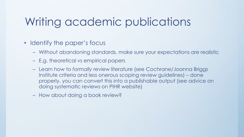#### Writing academic publications

- Identify the paper's focus
	- Without abandoning standards, make sure your expectations are realistic
	- E.g. theoretical vs empirical papers
	- Learn how to *formally* review literature (see Cochrane/Joanna Briggs Institute criteria and less onerous scoping review guidelines) – done properly, you can convert this into a publishable output (see advice on doing systematic reviews on PIHR website)
	- How about doing a book review?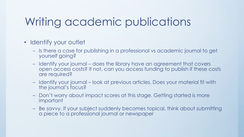## Writing academic publications

- Identify your outlet
	- Is there a case for publishing in a professional vs academic journal to get yourself going?
	- Identify your journal does the library have an agreement that covers open access costs? If not, can you access funding to publish if these costs are required?
	- Identify your journal look at previous articles. Does your material fit with the journal's focus?
	- Don't worry about impact scores at this stage. Getting started is more important
	- Be savvy. If your subject suddenly becomes topical, think about submitting a piece to a professional journal or newspaper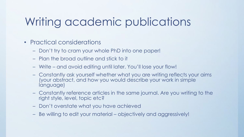# Writing academic publications

- Practical considerations
	- Don't try to cram your whole PhD into one paper!
	- Plan the broad outline and stick to it
	- Write and avoid editing until later. You'll lose your flow!
	- Constantly ask yourself whether what you are writing reflects your aims (your abstract, and how you would describe your work in simple language)
	- Constantly reference articles in the same journal. Are you writing to the right style, level, topic etc?
	- Don't overstate what you have achieved
	- Be willing to edit your material objectively and aggressively!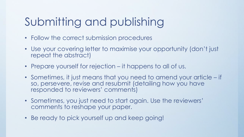# Submitting and publishing

- Follow the correct submission procedures
- Use your covering letter to maximise your opportunity (don't just repeat the abstract)
- Prepare yourself for rejection it happens to all of us.
- Sometimes, it just means that you need to amend your article if so, persevere, revise and resubmit (detailing how you have responded to reviewers' comments)
- Sometimes, you just need to start again. Use the reviewers' comments to reshape your paper.
- Be ready to pick yourself up and keep going!